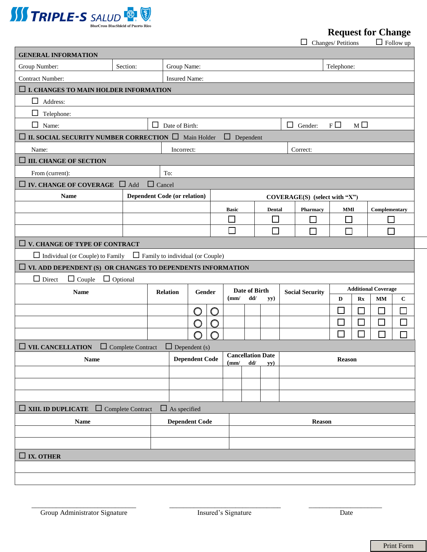

**Request for Change**<br>ges/Petitions  $\Box$  Follow up

 $\Box$  Changes/ Petitions

| <b>GENERAL INFORMATION</b>                                                      |                          |                                                                 |                           |                      |   |                  |                                            |                               |                        |                                                                            |               |               |        |  |
|---------------------------------------------------------------------------------|--------------------------|-----------------------------------------------------------------|---------------------------|----------------------|---|------------------|--------------------------------------------|-------------------------------|------------------------|----------------------------------------------------------------------------|---------------|---------------|--------|--|
| Group Number:                                                                   | Section:                 |                                                                 | Group Name:               |                      |   |                  |                                            |                               |                        | Telephone:                                                                 |               |               |        |  |
| <b>Contract Number:</b>                                                         |                          | <b>Insured Name:</b>                                            |                           |                      |   |                  |                                            |                               |                        |                                                                            |               |               |        |  |
| $\Box$ I. CHANGES TO MAIN HOLDER INFORMATION                                    |                          |                                                                 |                           |                      |   |                  |                                            |                               |                        |                                                                            |               |               |        |  |
| ப<br>Address:                                                                   |                          |                                                                 |                           |                      |   |                  |                                            |                               |                        |                                                                            |               |               |        |  |
| $\Box$ Telephone:                                                               |                          |                                                                 |                           |                      |   |                  |                                            |                               |                        |                                                                            |               |               |        |  |
| $\Box$ Name:                                                                    |                          | $F \Box$<br>$\Box$ Date of Birth:<br>$\Box$ Gender:<br>$M \Box$ |                           |                      |   |                  |                                            |                               |                        |                                                                            |               |               |        |  |
| $\Box$ II. SOCIAL SECURITY NUMBER CORRECTION $\Box$ Main Holder                 |                          |                                                                 |                           |                      |   | $\Box$ Dependent |                                            |                               |                        |                                                                            |               |               |        |  |
| Name:                                                                           |                          |                                                                 | Incorrect:<br>Correct:    |                      |   |                  |                                            |                               |                        |                                                                            |               |               |        |  |
| $\Box$ III. CHANGE OF SECTION                                                   |                          |                                                                 |                           |                      |   |                  |                                            |                               |                        |                                                                            |               |               |        |  |
| From (current):                                                                 |                          | To:                                                             |                           |                      |   |                  |                                            |                               |                        |                                                                            |               |               |        |  |
| $\Box$ IV. CHANGE OF COVERAGE $\Box$ Add                                        |                          | $\Box$ Cancel                                                   |                           |                      |   |                  |                                            |                               |                        |                                                                            |               |               |        |  |
| <b>Name</b>                                                                     |                          | <b>Dependent Code (or relation)</b>                             |                           |                      |   |                  |                                            | COVERAGE(S) (select with "X") |                        |                                                                            |               |               |        |  |
|                                                                                 |                          |                                                                 |                           |                      |   | <b>Basic</b>     | Dental                                     |                               | Pharmacy               | MМ                                                                         |               | Complementary |        |  |
|                                                                                 |                          |                                                                 |                           |                      |   | $\Box$           |                                            | $\Box$                        |                        | H                                                                          |               |               |        |  |
|                                                                                 |                          |                                                                 |                           |                      |   | П                |                                            | Г                             | П                      | П                                                                          |               | П             |        |  |
| $\Box$ V. CHANGE OF TYPE OF CONTRACT                                            |                          |                                                                 |                           |                      |   |                  |                                            |                               |                        |                                                                            |               |               |        |  |
| $\Box$ Individual (or Couple) to Family $\Box$ Family to individual (or Couple) |                          |                                                                 |                           |                      |   |                  |                                            |                               |                        |                                                                            |               |               |        |  |
| $\Box$ VI. ADD DEPENDENT (S) OR CHANGES TO DEPENDENTS INFORMATION               |                          |                                                                 |                           |                      |   |                  |                                            |                               |                        |                                                                            |               |               |        |  |
| $\Box$ Couple $\Box$ Optional<br>$\Box$ Direct                                  |                          |                                                                 |                           |                      |   |                  |                                            |                               |                        |                                                                            |               |               |        |  |
| <b>Name</b>                                                                     |                          |                                                                 | <b>Relation</b><br>Gender |                      |   | (mm)             | Date of Birth<br>dd/<br>yy)                |                               | <b>Social Security</b> | <b>Additional Coverage</b><br>D<br>$\mathbf{R}$ <b>x</b><br><b>MM</b><br>С |               |               |        |  |
|                                                                                 |                          |                                                                 |                           | O                    | O |                  |                                            |                               |                        |                                                                            | ΙI            |               | П      |  |
|                                                                                 |                          | O                                                               |                           |                      | O |                  |                                            |                               |                        |                                                                            | $\Box$        |               | $\Box$ |  |
|                                                                                 |                          |                                                                 | ∩                         |                      |   |                  |                                            |                               |                        |                                                                            | $\mathsf{L}$  | П             | Г      |  |
| $\Box$ VII. CANCELLATION                                                        | $\Box$ Complete Contract |                                                                 |                           | $\Box$ Dependent (s) |   |                  |                                            |                               |                        |                                                                            |               |               |        |  |
| <b>Name</b>                                                                     |                          |                                                                 | <b>Dependent Code</b>     |                      |   |                  | <b>Cancellation Date</b><br>$(mm/$ dd/ yy) |                               |                        |                                                                            | <b>Reason</b> |               |        |  |
|                                                                                 |                          |                                                                 |                           |                      |   |                  |                                            |                               |                        |                                                                            |               |               |        |  |
|                                                                                 |                          |                                                                 |                           |                      |   |                  |                                            |                               |                        |                                                                            |               |               |        |  |
|                                                                                 |                          |                                                                 |                           |                      |   |                  |                                            |                               |                        |                                                                            |               |               |        |  |
| $\Box$ XIII. ID DUPLICATE<br>ப                                                  | Complete Contract        |                                                                 | $\Box$ As specified       |                      |   |                  |                                            |                               |                        |                                                                            |               |               |        |  |
| Name                                                                            |                          |                                                                 | <b>Dependent Code</b>     |                      |   |                  | <b>Reason</b>                              |                               |                        |                                                                            |               |               |        |  |
|                                                                                 |                          |                                                                 |                           |                      |   |                  |                                            |                               |                        |                                                                            |               |               |        |  |
|                                                                                 |                          |                                                                 |                           |                      |   |                  |                                            |                               |                        |                                                                            |               |               |        |  |
|                                                                                 |                          |                                                                 |                           |                      |   |                  |                                            |                               |                        |                                                                            |               |               |        |  |
| $\Box$ IX. OTHER                                                                |                          |                                                                 |                           |                      |   |                  |                                            |                               |                        |                                                                            |               |               |        |  |
|                                                                                 |                          |                                                                 |                           |                      |   |                  |                                            |                               |                        |                                                                            |               |               |        |  |

\_\_\_\_\_\_\_\_\_\_\_\_\_\_\_\_\_\_\_\_\_\_\_\_\_\_\_\_\_\_ \_\_\_\_\_\_\_\_\_\_\_\_\_\_\_\_\_\_\_\_\_\_\_\_\_\_\_\_\_\_\_\_ \_\_\_\_\_\_\_\_\_\_\_\_\_\_\_\_\_\_\_\_\_